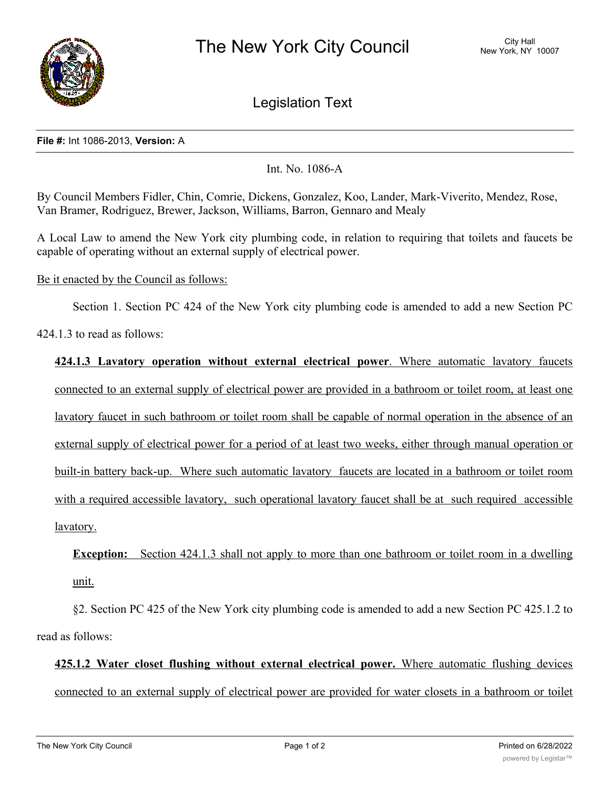

Legislation Text

## **File #:** Int 1086-2013, **Version:** A

Int. No. 1086-A

By Council Members Fidler, Chin, Comrie, Dickens, Gonzalez, Koo, Lander, Mark-Viverito, Mendez, Rose, Van Bramer, Rodriguez, Brewer, Jackson, Williams, Barron, Gennaro and Mealy

A Local Law to amend the New York city plumbing code, in relation to requiring that toilets and faucets be capable of operating without an external supply of electrical power.

## Be it enacted by the Council as follows:

Section 1. Section PC 424 of the New York city plumbing code is amended to add a new Section PC

424.1.3 to read as follows:

**424.1.3 Lavatory operation without external electrical power**. Where automatic lavatory faucets connected to an external supply of electrical power are provided in a bathroom or toilet room, at least one lavatory faucet in such bathroom or toilet room shall be capable of normal operation in the absence of an external supply of electrical power for a period of at least two weeks, either through manual operation or built-in battery back-up. Where such automatic lavatory faucets are located in a bathroom or toilet room with a required accessible lavatory, such operational lavatory faucet shall be at such required accessible lavatory.

**Exception:** Section 424.1.3 shall not apply to more than one bathroom or toilet room in a dwelling unit.

§2. Section PC 425 of the New York city plumbing code is amended to add a new Section PC 425.1.2 to read as follows:

**425.1.2 Water closet flushing without external electrical power.** Where automatic flushing devices connected to an external supply of electrical power are provided for water closets in a bathroom or toilet